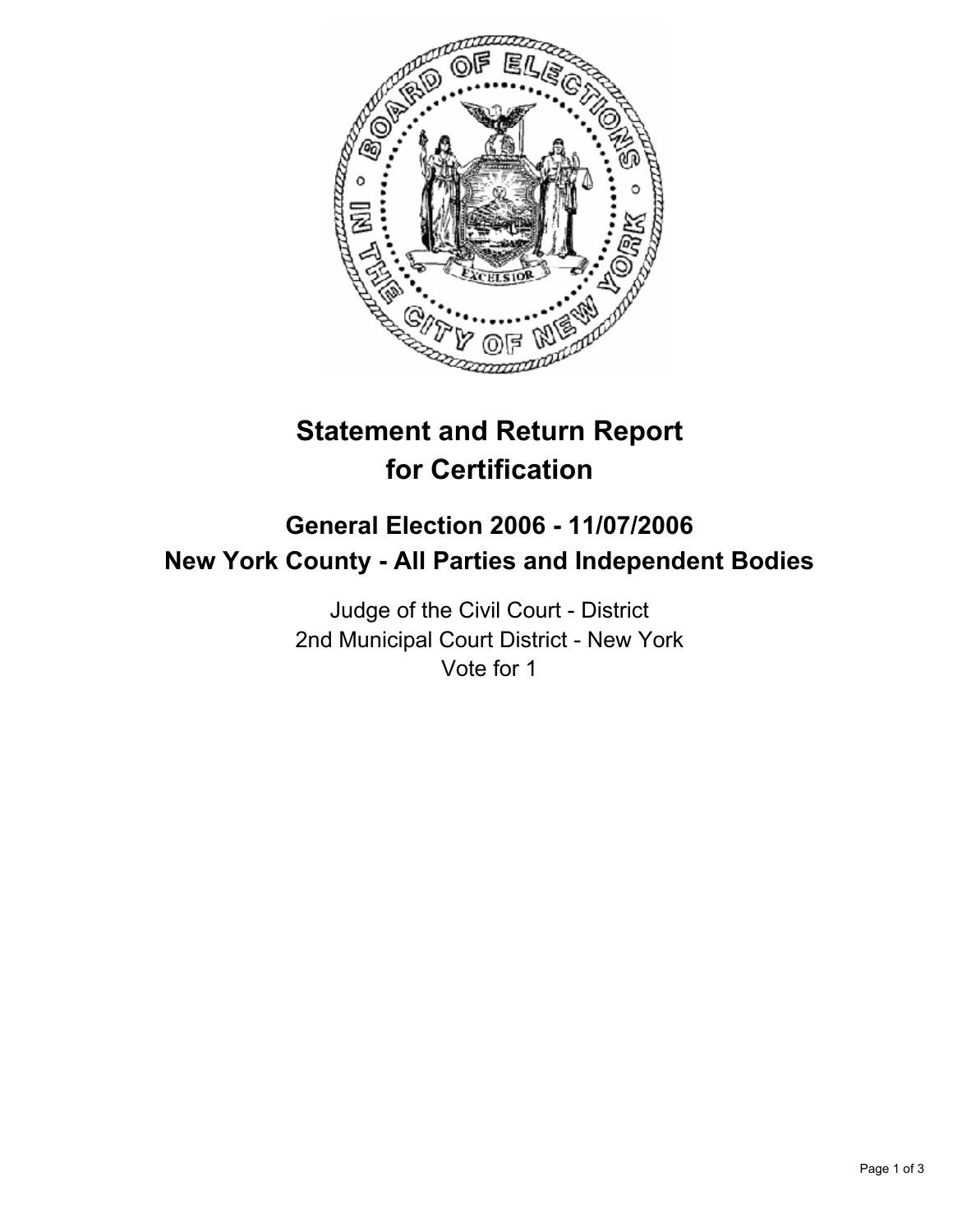

# **Statement and Return Report for Certification**

## **General Election 2006 - 11/07/2006 New York County - All Parties and Independent Bodies**

Judge of the Civil Court - District 2nd Municipal Court District - New York Vote for 1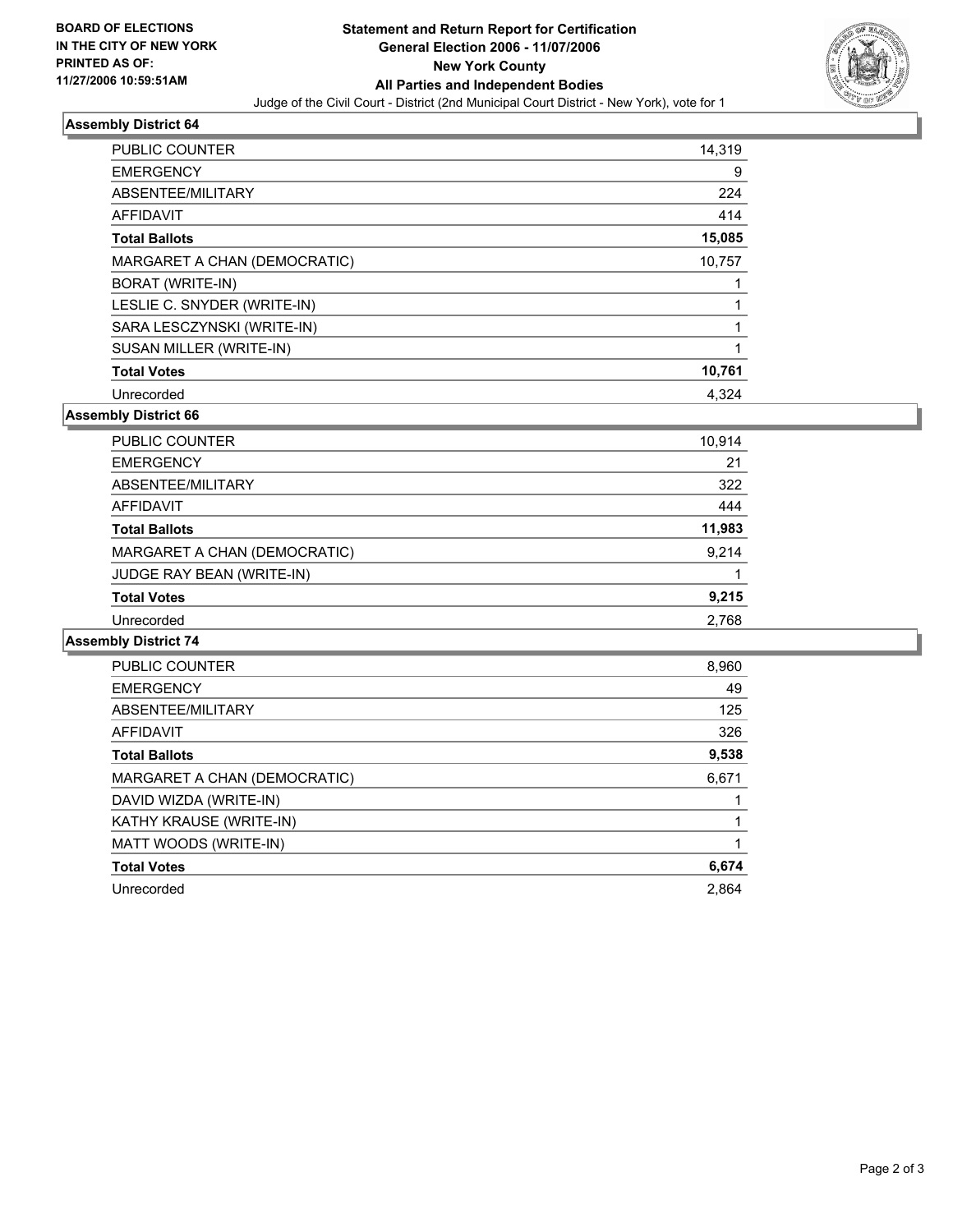

#### **Assembly District 64**

| <b>PUBLIC COUNTER</b>        | 14,319 |
|------------------------------|--------|
| <b>EMERGENCY</b>             | 9      |
| ABSENTEE/MILITARY            | 224    |
| <b>AFFIDAVIT</b>             | 414    |
| <b>Total Ballots</b>         | 15,085 |
| MARGARET A CHAN (DEMOCRATIC) | 10,757 |
| BORAT (WRITE-IN)             |        |
| LESLIE C. SNYDER (WRITE-IN)  |        |
| SARA LESCZYNSKI (WRITE-IN)   |        |
| SUSAN MILLER (WRITE-IN)      |        |
| <b>Total Votes</b>           | 10,761 |
| Unrecorded                   | 4,324  |

**Assembly District 66**

| PUBLIC COUNTER               | 10,914 |
|------------------------------|--------|
| <b>EMERGENCY</b>             | 21     |
| ABSENTEE/MILITARY            | 322    |
| AFFIDAVIT                    | 444    |
| <b>Total Ballots</b>         | 11,983 |
| MARGARET A CHAN (DEMOCRATIC) | 9,214  |
| JUDGE RAY BEAN (WRITE-IN)    |        |
| <b>Total Votes</b>           | 9,215  |
| Unrecorded                   | 2,768  |

#### **Assembly District 74**

| <b>PUBLIC COUNTER</b>        | 8,960 |
|------------------------------|-------|
| <b>EMERGENCY</b>             | 49    |
| ABSENTEE/MILITARY            | 125   |
| AFFIDAVIT                    | 326   |
| <b>Total Ballots</b>         | 9,538 |
| MARGARET A CHAN (DEMOCRATIC) | 6,671 |
| DAVID WIZDA (WRITE-IN)       |       |
| KATHY KRAUSE (WRITE-IN)      |       |
| MATT WOODS (WRITE-IN)        |       |
| <b>Total Votes</b>           | 6,674 |
| Unrecorded                   | 2.864 |